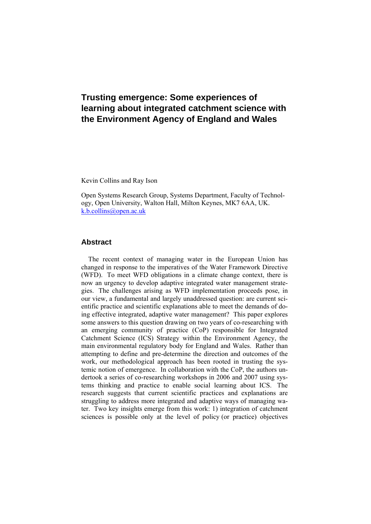# **Trusting emergence: Some experiences of learning about integrated catchment science with the Environment Agency of England and Wales**

Kevin Collins and Ray Ison

Open Systems Research Group, Systems Department, Faculty of Technology, Open University, Walton Hall, Milton Keynes, MK7 6AA, UK. [k.b.collins@open.ac.uk](mailto:k.b.collins@open.ac.uk)

## **Abstract**

The recent context of managing water in the European Union has changed in response to the imperatives of the Water Framework Directive (WFD). To meet WFD obligations in a climate change context, there is now an urgency to develop adaptive integrated water management strategies. The challenges arising as WFD implementation proceeds pose, in our view, a fundamental and largely unaddressed question: are current scientific practice and scientific explanations able to meet the demands of doing effective integrated, adaptive water management? This paper explores some answers to this question drawing on two years of co-researching with an emerging community of practice (CoP) responsible for Integrated Catchment Science (ICS) Strategy within the Environment Agency, the main environmental regulatory body for England and Wales. Rather than attempting to define and pre-determine the direction and outcomes of the work, our methodological approach has been rooted in trusting the systemic notion of emergence. In collaboration with the CoP, the authors undertook a series of co-researching workshops in 2006 and 2007 using systems thinking and practice to enable social learning about ICS. The research suggests that current scientific practices and explanations are struggling to address more integrated and adaptive ways of managing water. Two key insights emerge from this work: 1) integration of catchment sciences is possible only at the level of policy (or practice) objectives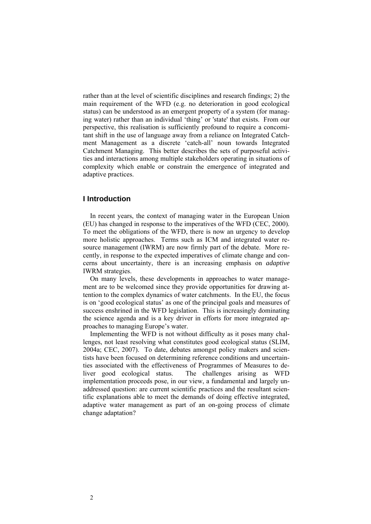rather than at the level of scientific disciplines and research findings; 2) the main requirement of the WFD (e.g. no deterioration in good ecological status) can be understood as an emergent property of a system (for managing water) rather than an individual 'thing' or 'state' that exists. From our perspective, this realisation is sufficiently profound to require a concomitant shift in the use of language away from a reliance on Integrated Catchment Management as a discrete 'catch-all' noun towards Integrated Catchment Managing. This better describes the sets of purposeful activities and interactions among multiple stakeholders operating in situations of complexity which enable or constrain the emergence of integrated and adaptive practices.

## **I Introduction**

In recent years, the context of managing water in the European Union (EU) has changed in response to the imperatives of the WFD (CEC, 2000). To meet the obligations of the WFD, there is now an urgency to develop more holistic approaches. Terms such as ICM and integrated water resource management (IWRM) are now firmly part of the debate. More recently, in response to the expected imperatives of climate change and concerns about uncertainty, there is an increasing emphasis on *adaptive* IWRM strategies.

On many levels, these developments in approaches to water management are to be welcomed since they provide opportunities for drawing attention to the complex dynamics of water catchments. In the EU, the focus is on 'good ecological status' as one of the principal goals and measures of success enshrined in the WFD legislation. This is increasingly dominating the science agenda and is a key driver in efforts for more integrated approaches to managing Europe's water.

Implementing the WFD is not without difficulty as it poses many challenges, not least resolving what constitutes good ecological status (SLIM, 2004a; CEC, 2007). To date, debates amongst policy makers and scientists have been focused on determining reference conditions and uncertainties associated with the effectiveness of Programmes of Measures to deliver good ecological status. The challenges arising as WFD implementation proceeds pose, in our view, a fundamental and largely unaddressed question: are current scientific practices and the resultant scientific explanations able to meet the demands of doing effective integrated, adaptive water management as part of an on-going process of climate change adaptation?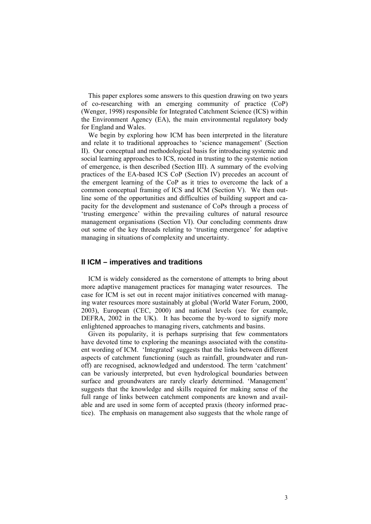This paper explores some answers to this question drawing on two years of co-researching with an emerging community of practice (CoP) (Wenger, 1998) responsible for Integrated Catchment Science (ICS) within the Environment Agency (EA), the main environmental regulatory body for England and Wales.

We begin by exploring how ICM has been interpreted in the literature and relate it to traditional approaches to 'science management' (Section II). Our conceptual and methodological basis for introducing systemic and social learning approaches to ICS, rooted in trusting to the systemic notion of emergence, is then described (Section III). A summary of the evolving practices of the EA-based ICS CoP (Section IV) precedes an account of the emergent learning of the CoP as it tries to overcome the lack of a common conceptual framing of ICS and ICM (Section V). We then outline some of the opportunities and difficulties of building support and capacity for the development and sustenance of CoPs through a process of 'trusting emergence' within the prevailing cultures of natural resource management organisations (Section VI). Our concluding comments draw out some of the key threads relating to 'trusting emergence' for adaptive managing in situations of complexity and uncertainty.

## **II ICM – imperatives and traditions**

ICM is widely considered as the cornerstone of attempts to bring about more adaptive management practices for managing water resources. The case for ICM is set out in recent major initiatives concerned with managing water resources more sustainably at global (World Water Forum, 2000, 2003), European (CEC, 2000) and national levels (see for example, DEFRA, 2002 in the UK). It has become the by-word to signify more enlightened approaches to managing rivers, catchments and basins.

Given its popularity, it is perhaps surprising that few commentators have devoted time to exploring the meanings associated with the constituent wording of ICM. 'Integrated' suggests that the links between different aspects of catchment functioning (such as rainfall, groundwater and runoff) are recognised, acknowledged and understood. The term 'catchment' can be variously interpreted, but even hydrological boundaries between surface and groundwaters are rarely clearly determined. 'Management' suggests that the knowledge and skills required for making sense of the full range of links between catchment components are known and available and are used in some form of accepted praxis (theory informed practice). The emphasis on management also suggests that the whole range of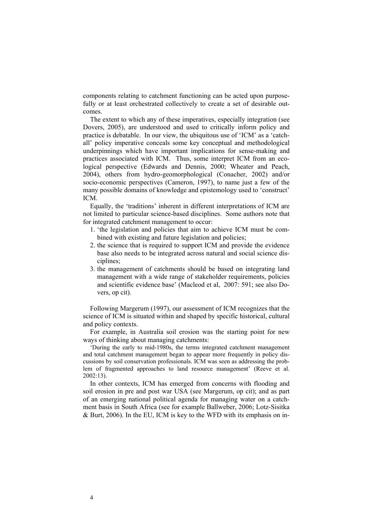components relating to catchment functioning can be acted upon purposefully or at least orchestrated collectively to create a set of desirable outcomes.

The extent to which any of these imperatives, especially integration (see Dovers, 2005), are understood and used to critically inform policy and practice is debatable. In our view, the ubiquitous use of 'ICM' as a 'catchall' policy imperative conceals some key conceptual and methodological underpinnings which have important implications for sense-making and practices associated with ICM. Thus, some interpret ICM from an ecological perspective (Edwards and Dennis, 2000; Wheater and Peach, 2004), others from hydro-geomorphological (Conacher, 2002) and/or socio-economic perspectives (Cameron, 1997), to name just a few of the many possible domains of knowledge and epistemology used to 'construct' ICM.

Equally, the 'traditions' inherent in different interpretations of ICM are not limited to particular science-based disciplines. Some authors note that for integrated catchment management to occur:

- 1. 'the legislation and policies that aim to achieve ICM must be combined with existing and future legislation and policies;
- 2. the science that is required to support ICM and provide the evidence base also needs to be integrated across natural and social science disciplines;
- 3. the management of catchments should be based on integrating land management with a wide range of stakeholder requirements, policies and scientific evidence base' (Macleod et al, 2007: 591; see also Dovers, op cit).

Following Margerum (1997), our assessment of ICM recognizes that the science of ICM is situated within and shaped by specific historical, cultural and policy contexts.

For example, in Australia soil erosion was the starting point for new ways of thinking about managing catchments:

'During the early to mid-1980s, the terms integrated catchment management and total catchment management began to appear more frequently in policy discussions by soil conservation professionals. ICM was seen as addressing the problem of fragmented approaches to land resource management' (Reeve et al. 2002:13).

In other contexts, ICM has emerged from concerns with flooding and soil erosion in pre and post war USA (see Margerum, op cit); and as part of an emerging national political agenda for managing water on a catchment basis in South Africa (see for example Ballweber, 2006; Lotz-Sisitka & Burt, 2006). In the EU, ICM is key to the WFD with its emphasis on in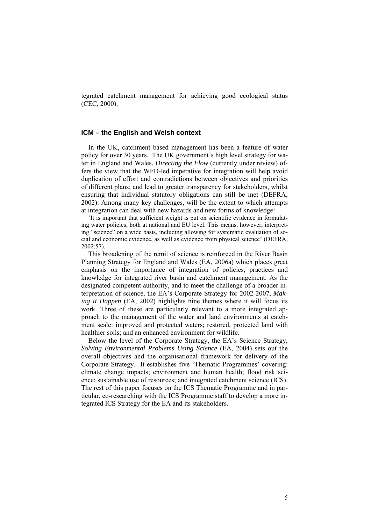tegrated catchment management for achieving good ecological status (CEC, 2000).

## **ICM – the English and Welsh context**

In the UK, catchment based management has been a feature of water policy for over 30 years. The UK government's high level strategy for water in England and Wales, *Directing the Flow* (currently under review) offers the view that the WFD-led imperative for integration will help avoid duplication of effort and contradictions between objectives and priorities of different plans; and lead to greater transparency for stakeholders, whilst ensuring that individual statutory obligations can still be met (DEFRA, 2002). Among many key challenges, will be the extent to which attempts at integration can deal with new hazards and new forms of knowledge:

'It is important that sufficient weight is put on scientific evidence in formulating water policies, both at national and EU level. This means, however, interpreting "science" on a wide basis, including allowing for systematic evaluation of social and economic evidence, as well as evidence from physical science' (DEFRA, 2002:57).

This broadening of the remit of science is reinforced in the River Basin Planning Strategy for England and Wales (EA, 2006a) which places great emphasis on the importance of integration of policies, practices and knowledge for integrated river basin and catchment management. As the designated competent authority, and to meet the challenge of a broader interpretation of science, the EA's Corporate Strategy for 2002-2007, *Making It Happen* (EA, 2002) highlights nine themes where it will focus its work. Three of these are particularly relevant to a more integrated approach to the management of the water and land environments at catchment scale: improved and protected waters; restored, protected land with healthier soils; and an enhanced environment for wildlife.

Below the level of the Corporate Strategy, the EA's Science Strategy, *Solving Environmental Problems Using Science* (EA, 2004) sets out the overall objectives and the organisational framework for delivery of the Corporate Strategy. It establishes five 'Thematic Programmes' covering: climate change impacts; environment and human health; flood risk science; sustainable use of resources; and integrated catchment science (ICS). The rest of this paper focuses on the ICS Thematic Programme and in particular, co-researching with the ICS Programme staff to develop a more integrated ICS Strategy for the EA and its stakeholders.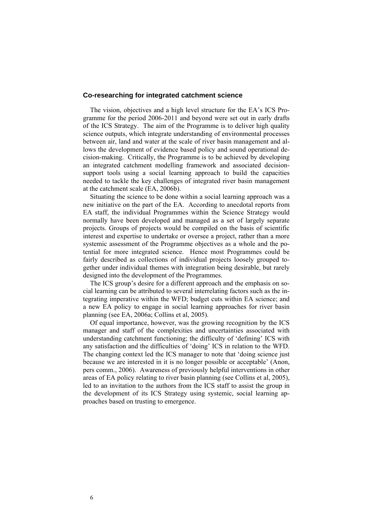#### **Co-researching for integrated catchment science**

The vision, objectives and a high level structure for the EA's ICS Programme for the period 2006-2011 and beyond were set out in early drafts of the ICS Strategy. The aim of the Programme is to deliver high quality science outputs, which integrate understanding of environmental processes between air, land and water at the scale of river basin management and allows the development of evidence based policy and sound operational decision-making. Critically, the Programme is to be achieved by developing an integrated catchment modelling framework and associated decisionsupport tools using a social learning approach to build the capacities needed to tackle the key challenges of integrated river basin management at the catchment scale (EA, 2006b).

Situating the science to be done within a social learning approach was a new initiative on the part of the EA. According to anecdotal reports from EA staff, the individual Programmes within the Science Strategy would normally have been developed and managed as a set of largely separate projects. Groups of projects would be compiled on the basis of scientific interest and expertise to undertake or oversee a project, rather than a more systemic assessment of the Programme objectives as a whole and the potential for more integrated science. Hence most Programmes could be fairly described as collections of individual projects loosely grouped together under individual themes with integration being desirable, but rarely designed into the development of the Programmes.

The ICS group's desire for a different approach and the emphasis on social learning can be attributed to several interrelating factors such as the integrating imperative within the WFD; budget cuts within EA science; and a new EA policy to engage in social learning approaches for river basin planning (see EA, 2006a; Collins et al, 2005).

Of equal importance, however, was the growing recognition by the ICS manager and staff of the complexities and uncertainties associated with understanding catchment functioning; the difficulty of 'defining' ICS with any satisfaction and the difficulties of 'doing' ICS in relation to the WFD. The changing context led the ICS manager to note that 'doing science just because we are interested in it is no longer possible or acceptable' (Anon, pers comm., 2006). Awareness of previously helpful interventions in other areas of EA policy relating to river basin planning (see Collins et al, 2005), led to an invitation to the authors from the ICS staff to assist the group in the development of its ICS Strategy using systemic, social learning approaches based on trusting to emergence.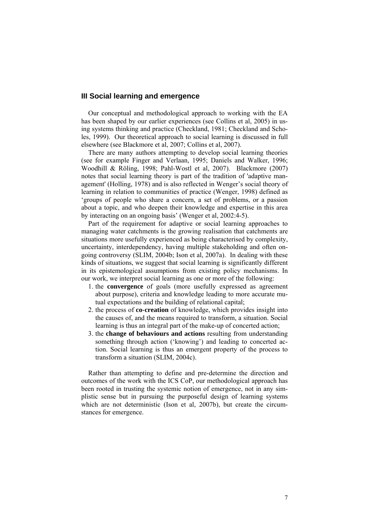## **III Social learning and emergence**

Our conceptual and methodological approach to working with the EA has been shaped by our earlier experiences (see Collins et al, 2005) in using systems thinking and practice (Checkland, 1981; Checkland and Scholes, 1999). Our theoretical approach to social learning is discussed in full elsewhere (see Blackmore et al, 2007; Collins et al, 2007).

There are many authors attempting to develop social learning theories (see for example Finger and Verlaan, 1995; Daniels and Walker, 1996; Woodhill & Röling, 1998; Pahl-Wostl et al, 2007). Blackmore (2007) notes that social learning theory is part of the tradition of 'adaptive management' (Holling, 1978) and is also reflected in Wenger's social theory of learning in relation to communities of practice (Wenger, 1998) defined as 'groups of people who share a concern, a set of problems, or a passion about a topic, and who deepen their knowledge and expertise in this area by interacting on an ongoing basis' (Wenger et al, 2002:4-5).

Part of the requirement for adaptive or social learning approaches to managing water catchments is the growing realisation that catchments are situations more usefully experienced as being characterised by complexity, uncertainty, interdependency, having multiple stakeholding and often ongoing controversy (SLIM, 2004b; Ison et al, 2007a). In dealing with these kinds of situations, we suggest that social learning is significantly different in its epistemological assumptions from existing policy mechanisms. In our work, we interpret social learning as one or more of the following:

- 1. the **convergence** of goals (more usefully expressed as agreement about purpose), criteria and knowledge leading to more accurate mutual expectations and the building of relational capital;
- 2. the process of **co-creation** of knowledge, which provides insight into the causes of, and the means required to transform, a situation. Social learning is thus an integral part of the make-up of concerted action;
- 3. the **change of behaviours and actions** resulting from understanding something through action ('knowing') and leading to concerted action. Social learning is thus an emergent property of the process to transform a situation (SLIM, 2004c).

Rather than attempting to define and pre-determine the direction and outcomes of the work with the ICS CoP, our methodological approach has been rooted in trusting the systemic notion of emergence, not in any simplistic sense but in pursuing the purposeful design of learning systems which are not deterministic (Ison et al, 2007b), but create the circumstances for emergence.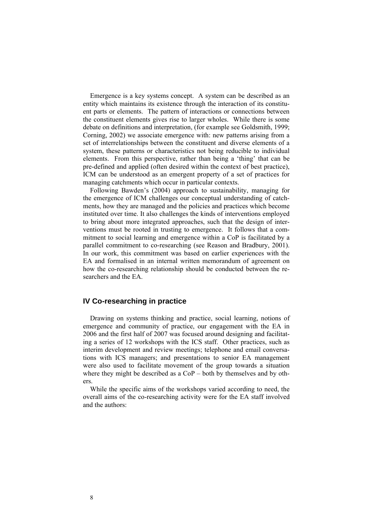Emergence is a key systems concept. A system can be described as an entity which maintains its existence through the interaction of its constituent parts or elements. The pattern of interactions or connections between the constituent elements gives rise to larger wholes. While there is some debate on definitions and interpretation, (for example see Goldsmith, 1999; Corning, 2002) we associate emergence with: new patterns arising from a set of interrelationships between the constituent and diverse elements of a system, these patterns or characteristics not being reducible to individual elements. From this perspective, rather than being a 'thing' that can be pre-defined and applied (often desired within the context of best practice), ICM can be understood as an emergent property of a set of practices for managing catchments which occur in particular contexts.

Following Bawden's (2004) approach to sustainability, managing for the emergence of ICM challenges our conceptual understanding of catchments, how they are managed and the policies and practices which become instituted over time. It also challenges the kinds of interventions employed to bring about more integrated approaches, such that the design of interventions must be rooted in trusting to emergence. It follows that a commitment to social learning and emergence within a CoP is facilitated by a parallel commitment to co-researching (see Reason and Bradbury, 2001). In our work, this commitment was based on earlier experiences with the EA and formalised in an internal written memorandum of agreement on how the co-researching relationship should be conducted between the researchers and the EA.

## **IV Co-researching in practice**

Drawing on systems thinking and practice, social learning, notions of emergence and community of practice, our engagement with the EA in 2006 and the first half of 2007 was focused around designing and facilitating a series of 12 workshops with the ICS staff. Other practices, such as interim development and review meetings; telephone and email conversations with ICS managers; and presentations to senior EA management were also used to facilitate movement of the group towards a situation where they might be described as a CoP – both by themselves and by others.

While the specific aims of the workshops varied according to need, the overall aims of the co-researching activity were for the EA staff involved and the authors: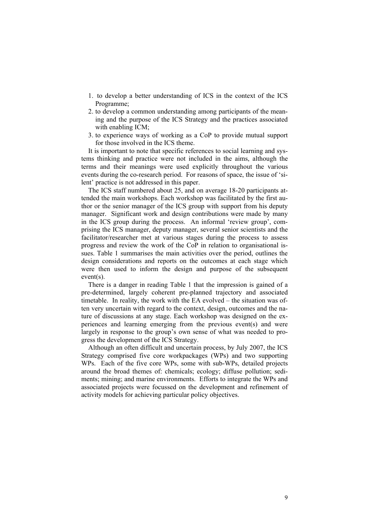- 1. to develop a better understanding of ICS in the context of the ICS Programme;
- 2. to develop a common understanding among participants of the meaning and the purpose of the ICS Strategy and the practices associated with enabling ICM;
- 3. to experience ways of working as a CoP to provide mutual support for those involved in the ICS theme.

It is important to note that specific references to social learning and systems thinking and practice were not included in the aims, although the terms and their meanings were used explicitly throughout the various events during the co-research period. For reasons of space, the issue of 'silent' practice is not addressed in this paper.

The ICS staff numbered about 25, and on average 18-20 participants attended the main workshops. Each workshop was facilitated by the first author or the senior manager of the ICS group with support from his deputy manager. Significant work and design contributions were made by many in the ICS group during the process. An informal 'review group', comprising the ICS manager, deputy manager, several senior scientists and the facilitator/researcher met at various stages during the process to assess progress and review the work of the CoP in relation to organisational issues. Table 1 summarises the main activities over the period, outlines the design considerations and reports on the outcomes at each stage which were then used to inform the design and purpose of the subsequent event(s).

There is a danger in reading Table 1 that the impression is gained of a pre-determined, largely coherent pre-planned trajectory and associated timetable. In reality, the work with the EA evolved – the situation was often very uncertain with regard to the context, design, outcomes and the nature of discussions at any stage. Each workshop was designed on the experiences and learning emerging from the previous event(s) and were largely in response to the group's own sense of what was needed to progress the development of the ICS Strategy.

Although an often difficult and uncertain process, by July 2007, the ICS Strategy comprised five core workpackages (WPs) and two supporting WPs. Each of the five core WPs, some with sub-WPs, detailed projects around the broad themes of: chemicals; ecology; diffuse pollution; sediments; mining; and marine environments. Efforts to integrate the WPs and associated projects were focussed on the development and refinement of activity models for achieving particular policy objectives.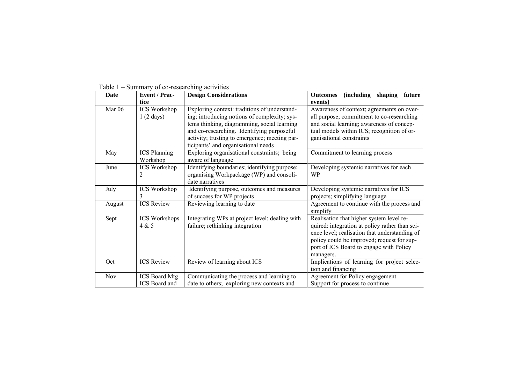| <b>Date</b> | <b>Event / Prac-</b>                       | <b>Design Considerations</b>                                                                                                                                                                                                                                                      | (including shaping future<br><b>Outcomes</b>                                                                                                                                                                                                      |
|-------------|--------------------------------------------|-----------------------------------------------------------------------------------------------------------------------------------------------------------------------------------------------------------------------------------------------------------------------------------|---------------------------------------------------------------------------------------------------------------------------------------------------------------------------------------------------------------------------------------------------|
|             | tice                                       |                                                                                                                                                                                                                                                                                   | events)                                                                                                                                                                                                                                           |
| Mar 06      | <b>ICS</b> Workshop<br>$1(2 \text{ days})$ | Exploring context: traditions of understand-<br>ing; introducing notions of complexity; sys-<br>tems thinking, diagramming, social learning<br>and co-researching. Identifying purposeful<br>activity; trusting to emergence; meeting par-<br>ticipants' and organisational needs | Awareness of context; agreements on over-<br>all purpose; commitment to co-researching<br>and social learning; awareness of concep-<br>tual models within ICS; recognition of or-<br>ganisational constraints                                     |
| May         | <b>ICS</b> Planning<br>Workshop            | Exploring organisational constraints; being<br>aware of language                                                                                                                                                                                                                  | Commitment to learning process                                                                                                                                                                                                                    |
| June        | <b>ICS Workshop</b><br>2                   | Identifying boundaries; identifying purpose;<br>organising Workpackage (WP) and consoli-<br>date narratives                                                                                                                                                                       | Developing systemic narratives for each<br>WP                                                                                                                                                                                                     |
| July        | <b>ICS Workshop</b><br>3                   | Identifying purpose, outcomes and measures<br>of success for WP projects                                                                                                                                                                                                          | Developing systemic narratives for ICS<br>projects; simplifying language                                                                                                                                                                          |
| August      | <b>ICS</b> Review                          | Reviewing learning to date                                                                                                                                                                                                                                                        | Agreement to continue with the process and<br>simplify                                                                                                                                                                                            |
| Sept        | <b>ICS Workshops</b><br>4 & 5              | Integrating WPs at project level: dealing with<br>failure; rethinking integration                                                                                                                                                                                                 | Realisation that higher system level re-<br>quired: integration at policy rather than sci-<br>ence level; realisation that understanding of<br>policy could be improved; request for sup-<br>port of ICS Board to engage with Policy<br>managers. |
| Oct         | <b>ICS</b> Review                          | Review of learning about ICS                                                                                                                                                                                                                                                      | Implications of learning for project selec-<br>tion and financing                                                                                                                                                                                 |
| Nov         | <b>ICS Board Mtg</b><br>ICS Board and      | Communicating the process and learning to<br>date to others; exploring new contexts and                                                                                                                                                                                           | Agreement for Policy engagement<br>Support for process to continue                                                                                                                                                                                |

Table 1 – Summary of co-researching activities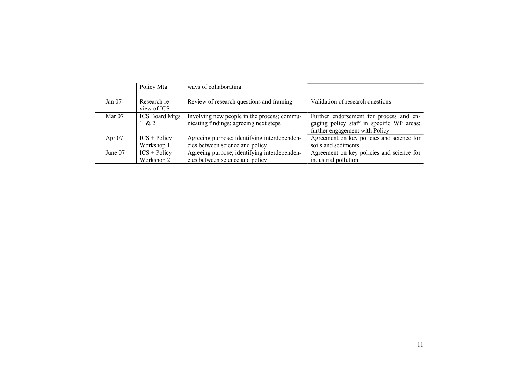|          | Policy Mtg                     | ways of collaborating                                                                 |                                                                                                                        |
|----------|--------------------------------|---------------------------------------------------------------------------------------|------------------------------------------------------------------------------------------------------------------------|
| Jan $07$ | Research re-<br>view of ICS    | Review of research questions and framing                                              | Validation of research questions                                                                                       |
| Mar $07$ | <b>ICS Board Mtgs</b><br>1 & 2 | Involving new people in the process; commu-<br>nicating findings; agreeing next steps | Further endorsement for process and en-<br>gaging policy staff in specific WP areas;<br>further engagement with Policy |
| Apr $07$ | $ICS + Policy$<br>Workshop 1   | Agreeing purpose; identifying interdependen-<br>cies between science and policy       | Agreement on key policies and science for<br>soils and sediments                                                       |
| June 07  | $ICS + Policy$<br>Workshop 2   | Agreeing purpose; identifying interdependen-<br>cies between science and policy       | Agreement on key policies and science for<br>industrial pollution                                                      |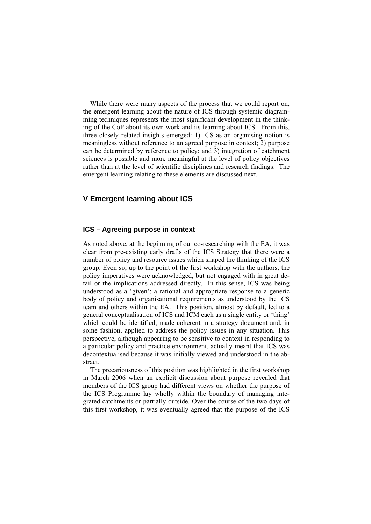While there were many aspects of the process that we could report on, the emergent learning about the nature of ICS through systemic diagramming techniques represents the most significant development in the thinking of the CoP about its own work and its learning about ICS. From this, three closely related insights emerged: 1) ICS as an organising notion is meaningless without reference to an agreed purpose in context; 2) purpose can be determined by reference to policy; and 3) integration of catchment sciences is possible and more meaningful at the level of policy objectives rather than at the level of scientific disciplines and research findings. The emergent learning relating to these elements are discussed next.

## **V Emergent learning about ICS**

## **ICS – Agreeing purpose in context**

As noted above, at the beginning of our co-researching with the EA, it was clear from pre-existing early drafts of the ICS Strategy that there were a number of policy and resource issues which shaped the thinking of the ICS group. Even so, up to the point of the first workshop with the authors, the policy imperatives were acknowledged, but not engaged with in great detail or the implications addressed directly. In this sense, ICS was being understood as a 'given': a rational and appropriate response to a generic body of policy and organisational requirements as understood by the ICS team and others within the EA. This position, almost by default, led to a general conceptualisation of ICS and ICM each as a single entity or 'thing' which could be identified, made coherent in a strategy document and, in some fashion, applied to address the policy issues in any situation. This perspective, although appearing to be sensitive to context in responding to a particular policy and practice environment, actually meant that ICS was decontextualised because it was initially viewed and understood in the abstract.

The precariousness of this position was highlighted in the first workshop in March 2006 when an explicit discussion about purpose revealed that members of the ICS group had different views on whether the purpose of the ICS Programme lay wholly within the boundary of managing integrated catchments or partially outside. Over the course of the two days of this first workshop, it was eventually agreed that the purpose of the ICS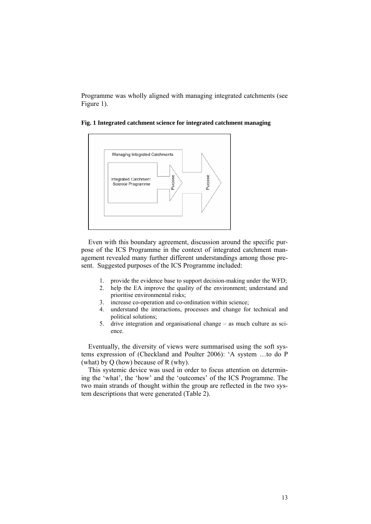Programme was wholly aligned with managing integrated catchments (see Figure 1).



**Fig. 1 Integrated catchment science for integrated catchment managing**

Even with this boundary agreement, discussion around the specific purpose of the ICS Programme in the context of integrated catchment management revealed many further different understandings among those present. Suggested purposes of the ICS Programme included:

- 1. provide the evidence base to support decision-making under the WFD;
- 2. help the EA improve the quality of the environment; understand and prioritise environmental risks;
- 3. increase co-operation and co-ordination within science;
- 4. understand the interactions, processes and change for technical and political solutions;
- 5. drive integration and organisational change as much culture as science.

Eventually, the diversity of views were summarised using the soft systems expression of (Checkland and Poulter 2006): 'A system …to do P (what) by Q (how) because of R (why).

This systemic device was used in order to focus attention on determining the 'what', the 'how' and the 'outcomes' of the ICS Programme. The two main strands of thought within the group are reflected in the two system descriptions that were generated (Table 2).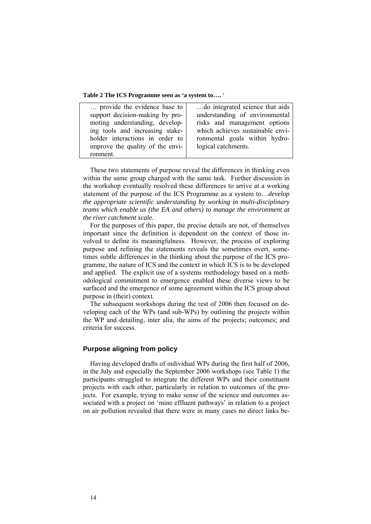**Table 2 The ICS Programme seen as 'a system to….** '

| provide the evidence base to     | do integrated science that aids  |
|----------------------------------|----------------------------------|
|                                  |                                  |
| support decision-making by pro-  | understanding of environmental   |
| moting understanding, develop-   | risks and management options     |
| ing tools and increasing stake-  | which achieves sustainable envi- |
| holder interactions in order to  | ronmental goals within hydro-    |
| improve the quality of the envi- | logical catchments.              |
| ronment.                         |                                  |

These two statements of purpose reveal the differences in thinking even within the same group charged with the same task. Further discussion in the workshop eventually resolved these differences to arrive at a working statement of the purpose of the ICS Programme as a system to…*develop the appropriate scientific understanding by working in multi-disciplinary teams which enable us (the EA and others) to manage the environment at the river catchment scale*.

For the purposes of this paper, the precise details are not, of themselves important since the definition is dependent on the context of those involved to define its meaningfulness. However, the process of exploring purpose and refining the statements reveals the sometimes overt, sometimes subtle differences in the thinking about the purpose of the ICS programme, the nature of ICS and the context in which ICS is to be developed and applied. The explicit use of a systems methodology based on a methodological commitment to emergence enabled these diverse views to be surfaced and the emergence of some agreement within the ICS group about purpose in (their) context.

The subsequent workshops during the rest of 2006 then focused on developing each of the WPs (and sub-WPs) by outlining the projects within the WP and detailing, inter alia, the aims of the projects; outcomes; and criteria for success.

#### **Purpose aligning from policy**

Having developed drafts of individual WPs during the first half of 2006, in the July and especially the September 2006 workshops (see Table 1) the participants struggled to integrate the different WPs and their constituent projects with each other, particularly in relation to outcomes of the projects. For example, trying to make sense of the science and outcomes associated with a project on 'mine effluent pathways' in relation to a project on air pollution revealed that there were in many cases no direct links be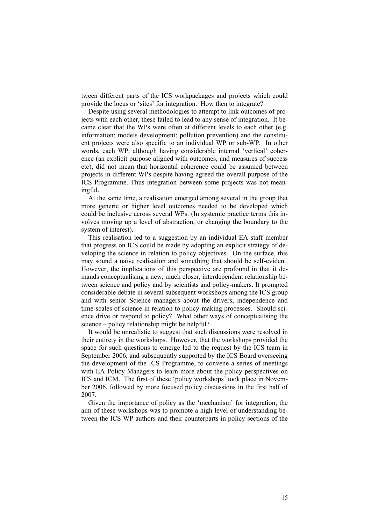tween different parts of the ICS workpackages and projects which could provide the locus or 'sites' for integration. How then to integrate?

Despite using several methodologies to attempt to link outcomes of projects with each other, these failed to lead to any sense of integration. It became clear that the WPs were often at different levels to each other (e.g. information; models development; pollution prevention) and the constituent projects were also specific to an individual WP or sub-WP. In other words, each WP, although having considerable internal 'vertical' coherence (an explicit purpose aligned with outcomes, and measures of success etc), did not mean that horizontal coherence could be assumed between projects in different WPs despite having agreed the overall purpose of the ICS Programme. Thus integration between some projects was not meaningful.

At the same time, a realisation emerged among several in the group that more generic or higher level outcomes needed to be developed which could be inclusive across several WPs. (In systemic practice terms this involves moving up a level of abstraction, or changing the boundary to the system of interest).

This realisation led to a suggestion by an individual EA staff member that progress on ICS could be made by adopting an explicit strategy of developing the science in relation to policy objectives. On the surface, this may sound a naïve realisation and something that should be self-evident. However, the implications of this perspective are profound in that it demands conceptualising a new, much closer, interdependent relationship between science and policy and by scientists and policy-makers. It prompted considerable debate in several subsequent workshops among the ICS group and with senior Science managers about the drivers, independence and time-scales of science in relation to policy-making processes. Should science drive or respond to policy? What other ways of conceptualising the science – policy relationship might be helpful?

It would be unrealistic to suggest that such discussions were resolved in their entirety in the workshops. However, that the workshops provided the space for such questions to emerge led to the request by the ICS team in September 2006, and subsequently supported by the ICS Board overseeing the development of the ICS Programme, to convene a series of meetings with EA Policy Managers to learn more about the policy perspectives on ICS and ICM. The first of these 'policy workshops' took place in November 2006, followed by more focused policy discussions in the first half of 2007.

Given the importance of policy as the 'mechanism' for integration, the aim of these workshops was to promote a high level of understanding between the ICS WP authors and their counterparts in policy sections of the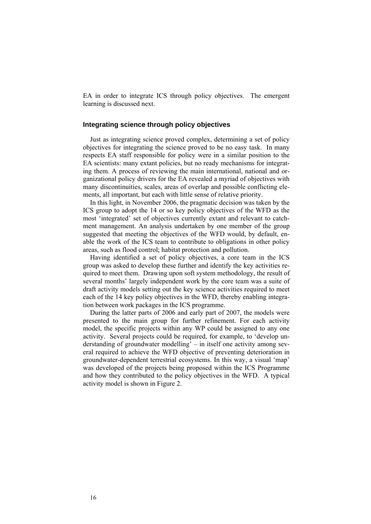EA in order to integrate ICS through policy objectives. The emergent learning is discussed next.

## **Integrating science through policy objectives**

Just as integrating science proved complex, determining a set of policy objectives for integrating the science proved to be no easy task. In many respects EA staff responsible for policy were in a similar position to the EA scientists: many extant policies, but no ready mechanisms for integrating them. A process of reviewing the main international, national and organizational policy drivers for the EA revealed a myriad of objectives with many discontinuities, scales, areas of overlap and possible conflicting elements, all important, but each with little sense of relative priority.

In this light, in November 2006, the pragmatic decision was taken by the ICS group to adopt the 14 or so key policy objectives of the WFD as the most 'integrated' set of objectives currently extant and relevant to catchment management. An analysis undertaken by one member of the group suggested that meeting the objectives of the WFD would, by default, enable the work of the ICS team to contribute to obligations in other policy areas, such as flood control; habitat protection and pollution.

Having identified a set of policy objectives, a core team in the ICS group was asked to develop these further and identify the key activities required to meet them. Drawing upon soft system methodology, the result of several months' largely independent work by the core team was a suite of draft activity models setting out the key science activities required to meet each of the 14 key policy objectives in the WFD, thereby enabling integration between work packages in the ICS programme.

During the latter parts of 2006 and early part of 2007, the models were presented to the main group for further refinement. For each activity model, the specific projects within any WP could be assigned to any one activity. Several projects could be required, for example, to 'develop understanding of groundwater modelling' – in itself one activity among several required to achieve the WFD objective of preventing deterioration in groundwater-dependent terrestrial ecosystems. In this way, a visual 'map' was developed of the projects being proposed within the ICS Programme and how they contributed to the policy objectives in the WFD. A typical activity model is shown in Figure 2.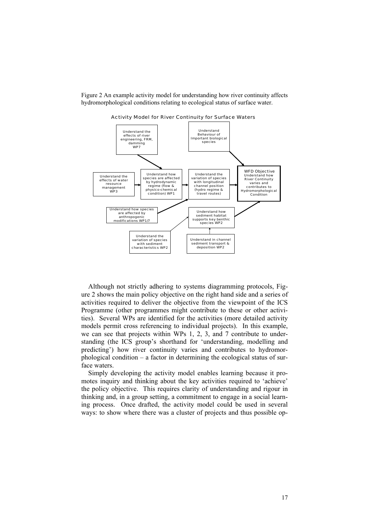Figure 2 An example activity model for understanding how river continuity affects hydromorphological conditions relating to ecological status of surface water.



Activity Model for River Continuity for Surface Waters

Although not strictly adhering to systems diagramming protocols, Figure 2 shows the main policy objective on the right hand side and a series of activities required to deliver the objective from the viewpoint of the ICS Programme (other programmes might contribute to these or other activities). Several WPs are identified for the activities (more detailed activity models permit cross referencing to individual projects). In this example, we can see that projects within WPs 1, 2, 3, and 7 contribute to understanding (the ICS group's shorthand for 'understanding, modelling and predicting') how river continuity varies and contributes to hydromorphological condition – a factor in determining the ecological status of surface waters.

Simply developing the activity model enables learning because it promotes inquiry and thinking about the key activities required to 'achieve' the policy objective. This requires clarity of understanding and rigour in thinking and, in a group setting, a commitment to engage in a social learning process. Once drafted, the activity model could be used in several ways: to show where there was a cluster of projects and thus possible op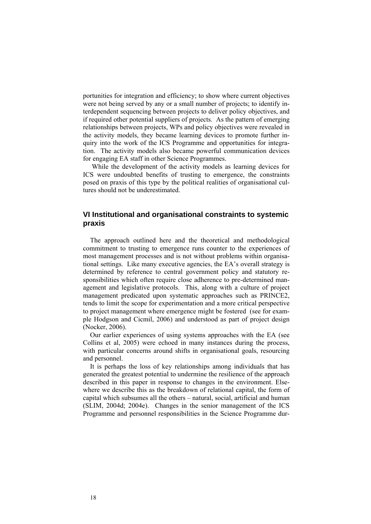portunities for integration and efficiency; to show where current objectives were not being served by any or a small number of projects; to identify interdependent sequencing between projects to deliver policy objectives, and if required other potential suppliers of projects. As the pattern of emerging relationships between projects, WPs and policy objectives were revealed in the activity models, they became learning devices to promote further inquiry into the work of the ICS Programme and opportunities for integration. The activity models also became powerful communication devices for engaging EA staff in other Science Programmes.

 While the development of the activity models as learning devices for ICS were undoubted benefits of trusting to emergence, the constraints posed on praxis of this type by the political realities of organisational cultures should not be underestimated.

## **VI Institutional and organisational constraints to systemic praxis**

The approach outlined here and the theoretical and methodological commitment to trusting to emergence runs counter to the experiences of most management processes and is not without problems within organisational settings. Like many executive agencies, the EA's overall strategy is determined by reference to central government policy and statutory responsibilities which often require close adherence to pre-determined management and legislative protocols. This, along with a culture of project management predicated upon systematic approaches such as PRINCE2, tends to limit the scope for experimentation and a more critical perspective to project management where emergence might be fostered (see for example Hodgson and Cicmil, 2006) and understood as part of project design (Nocker, 2006).

Our earlier experiences of using systems approaches with the EA (see Collins et al, 2005) were echoed in many instances during the process, with particular concerns around shifts in organisational goals, resourcing and personnel.

It is perhaps the loss of key relationships among individuals that has generated the greatest potential to undermine the resilience of the approach described in this paper in response to changes in the environment. Elsewhere we describe this as the breakdown of relational capital, the form of capital which subsumes all the others – natural, social, artificial and human (SLIM, 2004d; 2004e). Changes in the senior management of the ICS Programme and personnel responsibilities in the Science Programme dur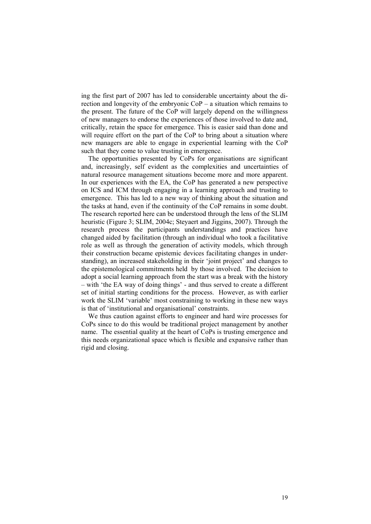ing the first part of 2007 has led to considerable uncertainty about the direction and longevity of the embryonic CoP – a situation which remains to the present. The future of the CoP will largely depend on the willingness of new managers to endorse the experiences of those involved to date and, critically, retain the space for emergence. This is easier said than done and will require effort on the part of the CoP to bring about a situation where new managers are able to engage in experiential learning with the CoP such that they come to value trusting in emergence.

The opportunities presented by CoPs for organisations are significant and, increasingly, self evident as the complexities and uncertainties of natural resource management situations become more and more apparent. In our experiences with the EA, the CoP has generated a new perspective on ICS and ICM through engaging in a learning approach and trusting to emergence. This has led to a new way of thinking about the situation and the tasks at hand, even if the continuity of the CoP remains in some doubt. The research reported here can be understood through the lens of the SLIM heuristic (Figure 3; SLIM, 2004c; Steyaert and Jiggins, 2007). Through the research process the participants understandings and practices have changed aided by facilitation (through an individual who took a facilitative role as well as through the generation of activity models, which through their construction became epistemic devices facilitating changes in understanding), an increased stakeholding in their 'joint project' and changes to the epistemological commitments held by those involved. The decision to adopt a social learning approach from the start was a break with the history – with 'the EA way of doing things' - and thus served to create a different set of initial starting conditions for the process. However, as with earlier work the SLIM 'variable' most constraining to working in these new ways is that of 'institutional and organisational' constraints.

We thus caution against efforts to engineer and hard wire processes for CoPs since to do this would be traditional project management by another name. The essential quality at the heart of CoPs is trusting emergence and this needs organizational space which is flexible and expansive rather than rigid and closing.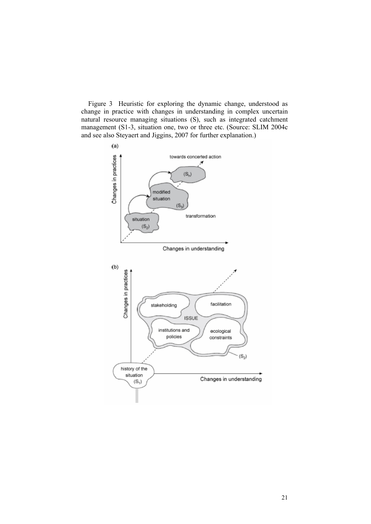Figure 3 Heuristic for exploring the dynamic change, understood as change in practice with changes in understanding in complex uncertain natural resource managing situations (S), such as integrated catchment management (S1-3, situation one, two or three etc. (Source: SLIM 2004c and see also Steyaert and Jiggins, 2007 for further explanation.)

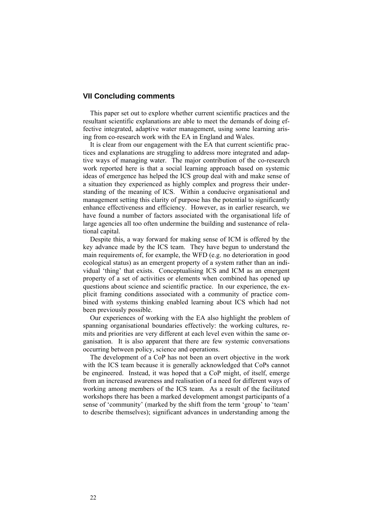## **VII Concluding comments**

This paper set out to explore whether current scientific practices and the resultant scientific explanations are able to meet the demands of doing effective integrated, adaptive water management, using some learning arising from co-research work with the EA in England and Wales.

It is clear from our engagement with the EA that current scientific practices and explanations are struggling to address more integrated and adaptive ways of managing water. The major contribution of the co-research work reported here is that a social learning approach based on systemic ideas of emergence has helped the ICS group deal with and make sense of a situation they experienced as highly complex and progress their understanding of the meaning of ICS. Within a conducive organisational and management setting this clarity of purpose has the potential to significantly enhance effectiveness and efficiency. However, as in earlier research, we have found a number of factors associated with the organisational life of large agencies all too often undermine the building and sustenance of relational capital.

Despite this, a way forward for making sense of ICM is offered by the key advance made by the ICS team. They have begun to understand the main requirements of, for example, the WFD (e.g. no deterioration in good ecological status) as an emergent property of a system rather than an individual 'thing' that exists. Conceptualising ICS and ICM as an emergent property of a set of activities or elements when combined has opened up questions about science and scientific practice. In our experience, the explicit framing conditions associated with a community of practice combined with systems thinking enabled learning about ICS which had not been previously possible.

Our experiences of working with the EA also highlight the problem of spanning organisational boundaries effectively: the working cultures, remits and priorities are very different at each level even within the same organisation. It is also apparent that there are few systemic conversations occurring between policy, science and operations.

The development of a CoP has not been an overt objective in the work with the ICS team because it is generally acknowledged that CoPs cannot be engineered. Instead, it was hoped that a CoP might, of itself, emerge from an increased awareness and realisation of a need for different ways of working among members of the ICS team. As a result of the facilitated workshops there has been a marked development amongst participants of a sense of 'community' (marked by the shift from the term 'group' to 'team' to describe themselves); significant advances in understanding among the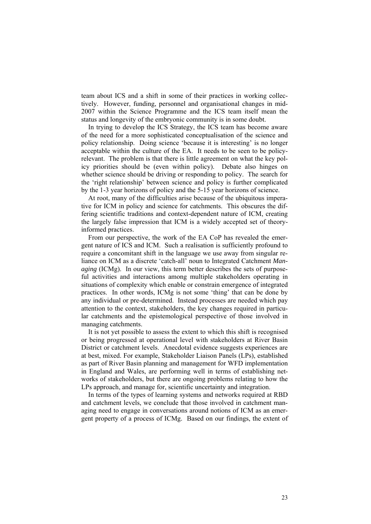team about ICS and a shift in some of their practices in working collectively. However, funding, personnel and organisational changes in mid-2007 within the Science Programme and the ICS team itself mean the status and longevity of the embryonic community is in some doubt.

In trying to develop the ICS Strategy, the ICS team has become aware of the need for a more sophisticated conceptualisation of the science and policy relationship. Doing science 'because it is interesting' is no longer acceptable within the culture of the EA. It needs to be seen to be policyrelevant. The problem is that there is little agreement on what the key policy priorities should be (even within policy). Debate also hinges on whether science should be driving or responding to policy. The search for the 'right relationship' between science and policy is further complicated by the 1-3 year horizons of policy and the 5-15 year horizons of science.

At root, many of the difficulties arise because of the ubiquitous imperative for ICM in policy and science for catchments. This obscures the differing scientific traditions and context-dependent nature of ICM, creating the largely false impression that ICM is a widely accepted set of theoryinformed practices.

From our perspective, the work of the EA CoP has revealed the emergent nature of ICS and ICM. Such a realisation is sufficiently profound to require a concomitant shift in the language we use away from singular reliance on ICM as a discrete 'catch-all' noun to Integrated Catchment *Managing* (ICMg). In our view, this term better describes the sets of purposeful activities and interactions among multiple stakeholders operating in situations of complexity which enable or constrain emergence of integrated practices. In other words, ICMg is not some 'thing' that can be done by any individual or pre-determined. Instead processes are needed which pay attention to the context, stakeholders, the key changes required in particular catchments and the epistemological perspective of those involved in managing catchments.

It is not yet possible to assess the extent to which this shift is recognised or being progressed at operational level with stakeholders at River Basin District or catchment levels. Anecdotal evidence suggests experiences are at best, mixed. For example, Stakeholder Liaison Panels (LPs), established as part of River Basin planning and management for WFD implementation in England and Wales, are performing well in terms of establishing networks of stakeholders, but there are ongoing problems relating to how the LPs approach, and manage for, scientific uncertainty and integration.

In terms of the types of learning systems and networks required at RBD and catchment levels, we conclude that those involved in catchment managing need to engage in conversations around notions of ICM as an emergent property of a process of ICMg. Based on our findings, the extent of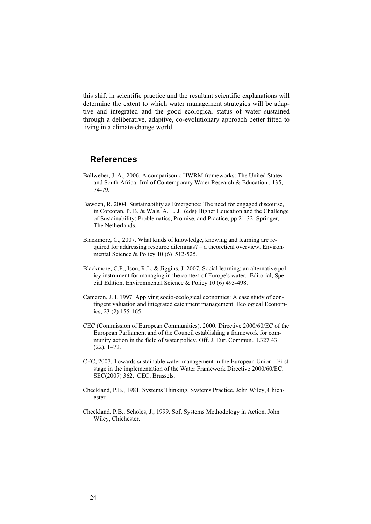this shift in scientific practice and the resultant scientific explanations will determine the extent to which water management strategies will be adaptive and integrated and the good ecological status of water sustained through a deliberative, adaptive, co-evolutionary approach better fitted to living in a climate-change world.

## **References**

- Ballweber, J. A., 2006. A comparison of IWRM frameworks: The United States and South Africa. Jrnl of Contemporary Water Research & Education , 135, 74-79.
- Bawden, R. 2004. Sustainability as Emergence: The need for engaged discourse, in Corcoran, P. B. & Wals, A. E. J. (eds) Higher Education and the Challenge of Sustainability: Problematics, Promise, and Practice, pp 21-32. Springer, The Netherlands.
- Blackmore, C., 2007. What kinds of knowledge, knowing and learning are required for addressing resource dilemmas? – a theoretical overview. Environmental Science & Policy 10 (6) 512-525.
- Blackmore, C.P., Ison, R.L. & Jiggins, J. 2007. Social learning: an alternative policy instrument for managing in the context of Europe's water. Editorial, Special Edition, Environmental Science & Policy 10 (6) 493-498.
- Cameron, J. I. 1997. Applying socio-ecological economics: A case study of contingent valuation and integrated catchment management. Ecological Economics, 23 (2) 155-165.
- CEC (Commission of European Communities). 2000. Directive 2000/60/EC of the European Parliament and of the Council establishing a framework for community action in the field of water policy. Off. J. Eur. Commun., L327 43 (22), 1–72.
- CEC, 2007. Towards sustainable water management in the European Union First stage in the implementation of the Water Framework Directive 2000/60/EC. SEC(2007) 362. CEC, Brussels.
- Checkland, P.B., 1981. Systems Thinking, Systems Practice. John Wiley, Chichester.
- Checkland, P.B., Scholes, J., 1999. Soft Systems Methodology in Action. John Wiley, Chichester.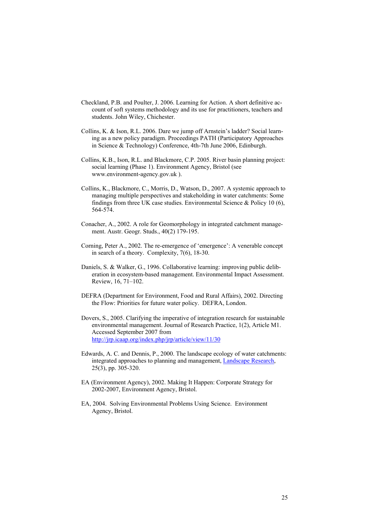- Checkland, P.B. and Poulter, J. 2006. Learning for Action. A short definitive account of soft systems methodology and its use for practitioners, teachers and students. John Wiley, Chichester.
- Collins, K. & Ison, R.L. 2006. Dare we jump off Arnstein's ladder? Social learning as a new policy paradigm. Proceedings PATH (Participatory Approaches in Science & Technology) Conference, 4th-7th June 2006, Edinburgh.
- Collins, K.B., Ison, R.L. and Blackmore, C.P. 2005. River basin planning project: social learning (Phase 1). Environment Agency, Bristol (see www.environment-agency.gov.uk ).
- Collins, K., Blackmore, C., Morris, D., Watson, D., 2007. A systemic approach to managing multiple perspectives and stakeholding in water catchments: Some findings from three UK case studies. Environmental Science  $\&$  Policy 10 (6), 564-574.
- Conacher, A., 2002. A role for Geomorphology in integrated catchment management. Austr. Geogr. Studs., 40(2) 179-195.
- Corning, Peter A., 2002. The re-emergence of 'emergence': A venerable concept in search of a theory. Complexity, 7(6), 18-30.
- Daniels, S. & Walker, G., 1996. Collaborative learning: improving public deliberation in ecosystem-based management. Environmental Impact Assessment. Review, 16, 71–102.
- DEFRA (Department for Environment, Food and Rural Affairs), 2002. Directing the Flow: Priorities for future water policy. DEFRA, London.
- Dovers, S., 2005. Clarifying the imperative of integration research for sustainable environmental management. Journal of Research Practice, 1(2), Article M1. Accessed September 2007 from <http://jrp.icaap.org/index.php/jrp/article/view/11/30>
- Edwards, A. C. and Dennis, P., 2000. The landscape ecology of water catchments: integrated approaches to planning and management, [Landscape Research,](http://www.ingentaconnect.com/content/routledg/clar) 25(3), pp. 305-320.
- EA (Environment Agency), 2002. Making It Happen: Corporate Strategy for 2002-2007, Environment Agency, Bristol.
- EA, 2004. Solving Environmental Problems Using Science. Environment Agency, Bristol.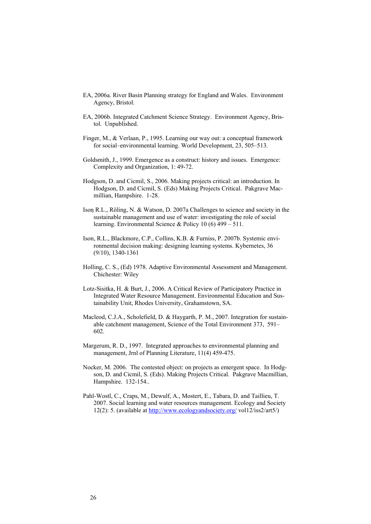- EA, 2006a. River Basin Planning strategy for England and Wales. Environment Agency, Bristol.
- EA, 2006b. Integrated Catchment Science Strategy. Environment Agency, Bristol. Unpublished.
- Finger, M., & Verlaan, P., 1995. Learning our way out: a conceptual framework for social–environmental learning. World Development, 23, 505–513.
- Goldsmith, J., 1999. Emergence as a construct: history and issues. Emergence: Complexity and Organization, 1: 49-72.
- Hodgson, D. and Cicmil, S., 2006. Making projects critical: an introduction. In Hodgson, D. and Cicmil, S. (Eds) Making Projects Critical. Pakgrave Macmillian, Hampshire. 1-28.
- Ison R.L., Röling, N. & Watson, D. 2007a Challenges to science and society in the sustainable management and use of water: investigating the role of social learning. Environmental Science & Policy 10 (6) 499 – 511.
- Ison, R.L., Blackmore, C.P., Collins, K.B. & Furniss, P. 2007b. Systemic environmental decision making: designing learning systems. Kybernetes, 36 (9/10), 1340-1361
- Holling, C. S., (Ed) 1978. Adaptive Environmental Assessment and Management. Chichester: Wiley
- Lotz-Sisitka, H. & Burt, J., 2006. A Critical Review of Participatory Practice in Integrated Water Resource Management. Environmental Education and Sustainability Unit, Rhodes University, Grahamstown, SA.
- Macleod, C.J.A., Scholefield, D. & Haygarth, P. M., 2007. Integration for sustainable catchment management, Science of the Total Environment 373, 591– 602.
- Margerum, R. D., 1997. Integrated approaches to environmental planning and management, Jrnl of Planning Literature, 11(4) 459-475.
- Nocker, M. 2006. The contested object: on projects as emergent space. In Hodgson, D. and Cicmil, S. (Eds). Making Projects Critical. Pakgrave Macmillian, Hampshire. 132-154..
- Pahl-Wostl, C., Craps, M., Dewulf, A., Mostert, E., Tabara, D. and Taillieu, T. 2007. Social learning and water resources management. Ecology and Society 12(2): 5. (available at <http://www.ecologyandsociety.org/>vol12/iss2/art5/)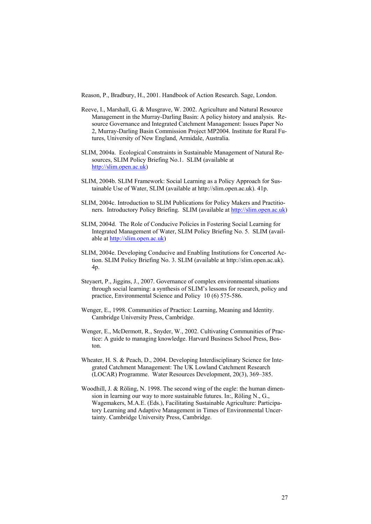Reason, P., Bradbury, H., 2001. Handbook of Action Research. Sage, London.

- Reeve, I., Marshall, G. & Musgrave, W. 2002. Agriculture and Natural Resource Management in the Murray-Darling Basin: A policy history and analysis. Resource Governance and Integrated Catchment Management: Issues Paper No 2, Murray-Darling Basin Commission Project MP2004. Institute for Rural Futures, University of New England, Armidale, Australia.
- SLIM, 2004a. Ecological Constraints in Sustainable Management of Natural Resources, SLIM Policy Briefing No.1. SLIM (available at [http://slim.open.ac.uk](http://slim.open.ac.uk/))
- SLIM, 2004b. SLIM Framework: Social Learning as a Policy Approach for Sustainable Use of Water, SLIM (available at http://slim.open.ac.uk). 41p.
- SLIM, 2004c. Introduction to SLIM Publications for Policy Makers and Practitioners. Introductory Policy Briefing. SLIM (available at [http://slim.open.ac.uk\)](http://slim.open.ac.uk/)
- SLIM, 2004d. The Role of Conducive Policies in Fostering Social Learning for Integrated Management of Water, SLIM Policy Briefing No. 5. SLIM (available at [http://slim.open.ac.uk](http://slim.open.ac.uk/))
- SLIM, 2004e. Developing Conducive and Enabling Institutions for Concerted Action. SLIM Policy Briefing No. 3. SLIM (available at http://slim.open.ac.uk). 4p.
- Steyaert, P., Jiggins, J., 2007. Governance of complex environmental situations through social learning: a synthesis of SLIM's lessons for research, policy and practice, Environmental Science and Policy 10 (6) 575-586.
- Wenger, E., 1998. Communities of Practice: Learning, Meaning and Identity. Cambridge University Press, Cambridge.
- Wenger, E., McDermott, R., Snyder, W., 2002. Cultivating Communities of Practice: A guide to managing knowledge. Harvard Business School Press, Boston.
- Wheater, H. S. & Peach, D., 2004. Developing Interdisciplinary Science for Integrated Catchment Management: The UK Lowland Catchment Research (LOCAR) Programme. Water Resources Development, 20(3), 369–385.
- Woodhill, J. & Röling, N. 1998. The second wing of the eagle: the human dimension in learning our way to more sustainable futures. In:, Röling N., G., Wagemakers, M.A.E. (Eds.), Facilitating Sustainable Agriculture: Participatory Learning and Adaptive Management in Times of Environmental Uncertainty. Cambridge University Press, Cambridge.